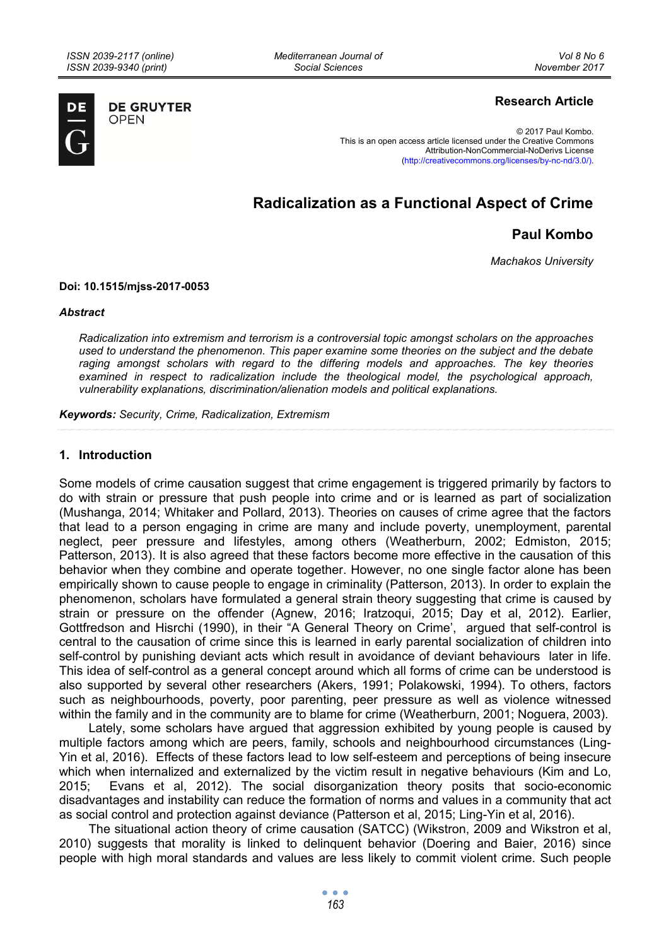*Mediterranean Journal of Social Sciences* 



**DE GRUYTER OPEN** 

# **Research Article**

© 2017 Paul Kombo. This is an open access article licensed under the Creative Commons Attribution-NonCommercial-NoDerivs License (http://creativecommons.org/licenses/by-nc-nd/3.0/).

# **Radicalization as a Functional Aspect of Crime**

# **Paul Kombo**

*Machakos University* 

#### **Doi: 10.1515/mjss-2017-0053**

#### *Abstract*

*Radicalization into extremism and terrorism is a controversial topic amongst scholars on the approaches used to understand the phenomenon. This paper examine some theories on the subject and the debate*  raging amongst scholars with regard to the differing models and approaches. The key theories *examined in respect to radicalization include the theological model, the psychological approach, vulnerability explanations, discrimination/alienation models and political explanations.* 

*Keywords: Security, Crime, Radicalization, Extremism* 

#### **1. Introduction**

Some models of crime causation suggest that crime engagement is triggered primarily by factors to do with strain or pressure that push people into crime and or is learned as part of socialization (Mushanga, 2014; Whitaker and Pollard, 2013). Theories on causes of crime agree that the factors that lead to a person engaging in crime are many and include poverty, unemployment, parental neglect, peer pressure and lifestyles, among others (Weatherburn, 2002; Edmiston, 2015; Patterson, 2013). It is also agreed that these factors become more effective in the causation of this behavior when they combine and operate together. However, no one single factor alone has been empirically shown to cause people to engage in criminality (Patterson, 2013). In order to explain the phenomenon, scholars have formulated a general strain theory suggesting that crime is caused by strain or pressure on the offender (Agnew, 2016; Iratzoqui, 2015; Day et al, 2012). Earlier, Gottfredson and Hisrchi (1990), in their "A General Theory on Crime', argued that self-control is central to the causation of crime since this is learned in early parental socialization of children into self-control by punishing deviant acts which result in avoidance of deviant behaviours later in life. This idea of self-control as a general concept around which all forms of crime can be understood is also supported by several other researchers (Akers, 1991; Polakowski, 1994). To others, factors such as neighbourhoods, poverty, poor parenting, peer pressure as well as violence witnessed within the family and in the community are to blame for crime (Weatherburn, 2001; Noguera, 2003).

Lately, some scholars have argued that aggression exhibited by young people is caused by multiple factors among which are peers, family, schools and neighbourhood circumstances (Ling-Yin et al, 2016). Effects of these factors lead to low self-esteem and perceptions of being insecure which when internalized and externalized by the victim result in negative behaviours (Kim and Lo, 2015; Evans et al, 2012). The social disorganization theory posits that socio-economic disadvantages and instability can reduce the formation of norms and values in a community that act as social control and protection against deviance (Patterson et al, 2015; Ling-Yin et al, 2016).

The situational action theory of crime causation (SATCC) (Wikstron, 2009 and Wikstron et al, 2010) suggests that morality is linked to delinquent behavior (Doering and Baier, 2016) since people with high moral standards and values are less likely to commit violent crime. Such people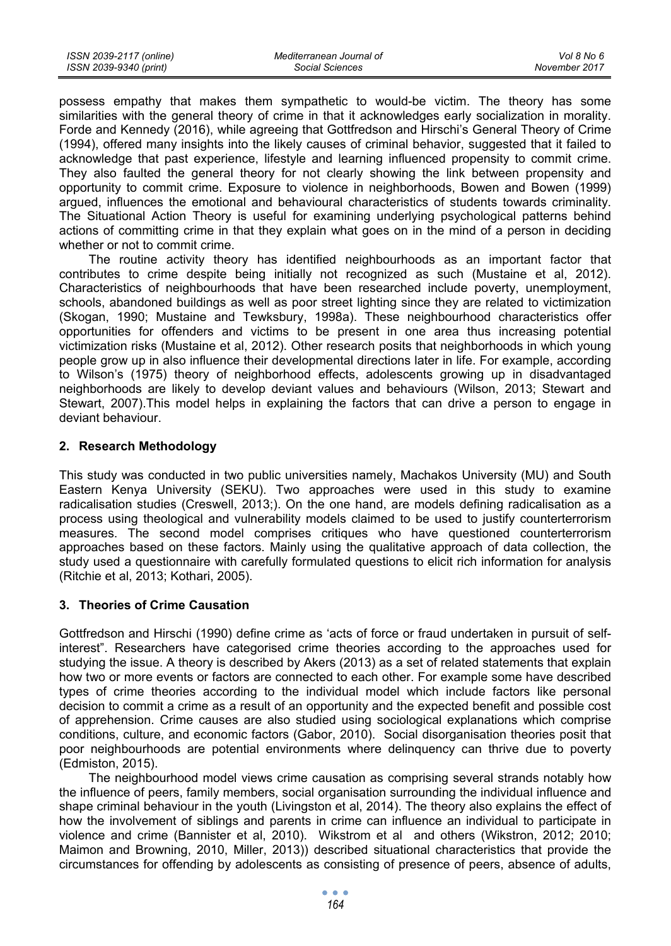possess empathy that makes them sympathetic to would-be victim. The theory has some similarities with the general theory of crime in that it acknowledges early socialization in morality. Forde and Kennedy (2016), while agreeing that Gottfredson and Hirschi's General Theory of Crime (1994), offered many insights into the likely causes of criminal behavior, suggested that it failed to acknowledge that past experience, lifestyle and learning influenced propensity to commit crime. They also faulted the general theory for not clearly showing the link between propensity and opportunity to commit crime. Exposure to violence in neighborhoods, Bowen and Bowen (1999) argued, influences the emotional and behavioural characteristics of students towards criminality. The Situational Action Theory is useful for examining underlying psychological patterns behind actions of committing crime in that they explain what goes on in the mind of a person in deciding whether or not to commit crime.

The routine activity theory has identified neighbourhoods as an important factor that contributes to crime despite being initially not recognized as such (Mustaine et al, 2012). Characteristics of neighbourhoods that have been researched include poverty, unemployment, schools, abandoned buildings as well as poor street lighting since they are related to victimization (Skogan, 1990; Mustaine and Tewksbury, 1998a). These neighbourhood characteristics offer opportunities for offenders and victims to be present in one area thus increasing potential victimization risks (Mustaine et al, 2012). Other research posits that neighborhoods in which young people grow up in also influence their developmental directions later in life. For example, according to Wilson's (1975) theory of neighborhood effects, adolescents growing up in disadvantaged neighborhoods are likely to develop deviant values and behaviours (Wilson, 2013; Stewart and Stewart, 2007).This model helps in explaining the factors that can drive a person to engage in deviant behaviour.

## **2. Research Methodology**

This study was conducted in two public universities namely, Machakos University (MU) and South Eastern Kenya University (SEKU). Two approaches were used in this study to examine radicalisation studies (Creswell, 2013;). On the one hand, are models defining radicalisation as a process using theological and vulnerability models claimed to be used to justify counterterrorism measures. The second model comprises critiques who have questioned counterterrorism approaches based on these factors. Mainly using the qualitative approach of data collection, the study used a questionnaire with carefully formulated questions to elicit rich information for analysis (Ritchie et al, 2013; Kothari, 2005).

### **3. Theories of Crime Causation**

Gottfredson and Hirschi (1990) define crime as 'acts of force or fraud undertaken in pursuit of selfinterest". Researchers have categorised crime theories according to the approaches used for studying the issue. A theory is described by Akers (2013) as a set of related statements that explain how two or more events or factors are connected to each other. For example some have described types of crime theories according to the individual model which include factors like personal decision to commit a crime as a result of an opportunity and the expected benefit and possible cost of apprehension. Crime causes are also studied using sociological explanations which comprise conditions, culture, and economic factors (Gabor, 2010). Social disorganisation theories posit that poor neighbourhoods are potential environments where delinquency can thrive due to poverty (Edmiston, 2015).

The neighbourhood model views crime causation as comprising several strands notably how the influence of peers, family members, social organisation surrounding the individual influence and shape criminal behaviour in the youth (Livingston et al, 2014). The theory also explains the effect of how the involvement of siblings and parents in crime can influence an individual to participate in violence and crime (Bannister et al, 2010). Wikstrom et al and others (Wikstron, 2012; 2010; Maimon and Browning, 2010, Miller, 2013)) described situational characteristics that provide the circumstances for offending by adolescents as consisting of presence of peers, absence of adults,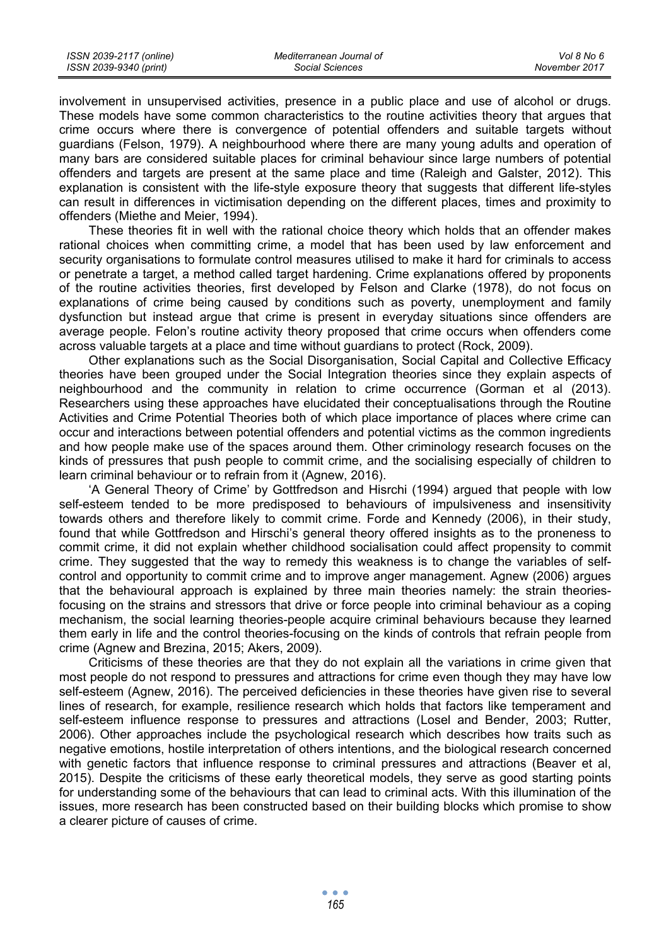involvement in unsupervised activities, presence in a public place and use of alcohol or drugs. These models have some common characteristics to the routine activities theory that argues that crime occurs where there is convergence of potential offenders and suitable targets without guardians (Felson, 1979). A neighbourhood where there are many young adults and operation of many bars are considered suitable places for criminal behaviour since large numbers of potential offenders and targets are present at the same place and time (Raleigh and Galster, 2012). This explanation is consistent with the life-style exposure theory that suggests that different life-styles can result in differences in victimisation depending on the different places, times and proximity to offenders (Miethe and Meier, 1994).

These theories fit in well with the rational choice theory which holds that an offender makes rational choices when committing crime, a model that has been used by law enforcement and security organisations to formulate control measures utilised to make it hard for criminals to access or penetrate a target, a method called target hardening. Crime explanations offered by proponents of the routine activities theories, first developed by Felson and Clarke (1978), do not focus on explanations of crime being caused by conditions such as poverty, unemployment and family dysfunction but instead argue that crime is present in everyday situations since offenders are average people. Felon's routine activity theory proposed that crime occurs when offenders come across valuable targets at a place and time without guardians to protect (Rock, 2009).

Other explanations such as the Social Disorganisation, Social Capital and Collective Efficacy theories have been grouped under the Social Integration theories since they explain aspects of neighbourhood and the community in relation to crime occurrence (Gorman et al (2013). Researchers using these approaches have elucidated their conceptualisations through the Routine Activities and Crime Potential Theories both of which place importance of places where crime can occur and interactions between potential offenders and potential victims as the common ingredients and how people make use of the spaces around them. Other criminology research focuses on the kinds of pressures that push people to commit crime, and the socialising especially of children to learn criminal behaviour or to refrain from it (Agnew, 2016).

'A General Theory of Crime' by Gottfredson and Hisrchi (1994) argued that people with low self-esteem tended to be more predisposed to behaviours of impulsiveness and insensitivity towards others and therefore likely to commit crime. Forde and Kennedy (2006), in their study, found that while Gottfredson and Hirschi's general theory offered insights as to the proneness to commit crime, it did not explain whether childhood socialisation could affect propensity to commit crime. They suggested that the way to remedy this weakness is to change the variables of selfcontrol and opportunity to commit crime and to improve anger management. Agnew (2006) argues that the behavioural approach is explained by three main theories namely: the strain theoriesfocusing on the strains and stressors that drive or force people into criminal behaviour as a coping mechanism, the social learning theories-people acquire criminal behaviours because they learned them early in life and the control theories-focusing on the kinds of controls that refrain people from crime (Agnew and Brezina, 2015; Akers, 2009).

Criticisms of these theories are that they do not explain all the variations in crime given that most people do not respond to pressures and attractions for crime even though they may have low self-esteem (Agnew, 2016). The perceived deficiencies in these theories have given rise to several lines of research, for example, resilience research which holds that factors like temperament and self-esteem influence response to pressures and attractions (Losel and Bender, 2003; Rutter, 2006). Other approaches include the psychological research which describes how traits such as negative emotions, hostile interpretation of others intentions, and the biological research concerned with genetic factors that influence response to criminal pressures and attractions (Beaver et al, 2015). Despite the criticisms of these early theoretical models, they serve as good starting points for understanding some of the behaviours that can lead to criminal acts. With this illumination of the issues, more research has been constructed based on their building blocks which promise to show a clearer picture of causes of crime.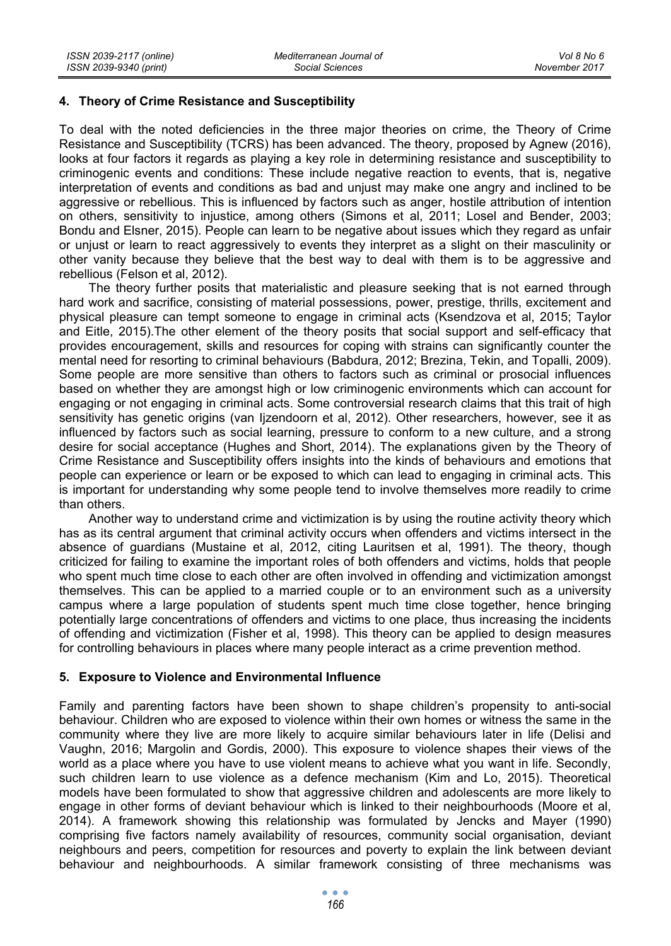### **4. Theory of Crime Resistance and Susceptibility**

To deal with the noted deficiencies in the three major theories on crime, the Theory of Crime Resistance and Susceptibility (TCRS) has been advanced. The theory, proposed by Agnew (2016), looks at four factors it regards as playing a key role in determining resistance and susceptibility to criminogenic events and conditions: These include negative reaction to events, that is, negative interpretation of events and conditions as bad and unjust may make one angry and inclined to be aggressive or rebellious. This is influenced by factors such as anger, hostile attribution of intention on others, sensitivity to injustice, among others (Simons et al, 2011; Losel and Bender, 2003; Bondu and Elsner, 2015). People can learn to be negative about issues which they regard as unfair or unjust or learn to react aggressively to events they interpret as a slight on their masculinity or other vanity because they believe that the best way to deal with them is to be aggressive and rebellious (Felson et al, 2012).

The theory further posits that materialistic and pleasure seeking that is not earned through hard work and sacrifice, consisting of material possessions, power, prestige, thrills, excitement and physical pleasure can tempt someone to engage in criminal acts (Ksendzova et al, 2015; Taylor and Eitle, 2015).The other element of the theory posits that social support and self-efficacy that provides encouragement, skills and resources for coping with strains can significantly counter the mental need for resorting to criminal behaviours (Babdura, 2012; Brezina, Tekin, and Topalli, 2009). Some people are more sensitive than others to factors such as criminal or prosocial influences based on whether they are amongst high or low criminogenic environments which can account for engaging or not engaging in criminal acts. Some controversial research claims that this trait of high sensitivity has genetic origins (van Ijzendoorn et al, 2012). Other researchers, however, see it as influenced by factors such as social learning, pressure to conform to a new culture, and a strong desire for social acceptance (Hughes and Short, 2014). The explanations given by the Theory of Crime Resistance and Susceptibility offers insights into the kinds of behaviours and emotions that people can experience or learn or be exposed to which can lead to engaging in criminal acts. This is important for understanding why some people tend to involve themselves more readily to crime than others.

Another way to understand crime and victimization is by using the routine activity theory which has as its central argument that criminal activity occurs when offenders and victims intersect in the absence of guardians (Mustaine et al, 2012, citing Lauritsen et al, 1991). The theory, though criticized for failing to examine the important roles of both offenders and victims, holds that people who spent much time close to each other are often involved in offending and victimization amongst themselves. This can be applied to a married couple or to an environment such as a university campus where a large population of students spent much time close together, hence bringing potentially large concentrations of offenders and victims to one place, thus increasing the incidents of offending and victimization (Fisher et al, 1998). This theory can be applied to design measures for controlling behaviours in places where many people interact as a crime prevention method.

### **5. Exposure to Violence and Environmental Influence**

Family and parenting factors have been shown to shape children's propensity to anti-social behaviour. Children who are exposed to violence within their own homes or witness the same in the community where they live are more likely to acquire similar behaviours later in life (Delisi and Vaughn, 2016; Margolin and Gordis, 2000). This exposure to violence shapes their views of the world as a place where you have to use violent means to achieve what you want in life. Secondly, such children learn to use violence as a defence mechanism (Kim and Lo, 2015). Theoretical models have been formulated to show that aggressive children and adolescents are more likely to engage in other forms of deviant behaviour which is linked to their neighbourhoods (Moore et al, 2014). A framework showing this relationship was formulated by Jencks and Mayer (1990) comprising five factors namely availability of resources, community social organisation, deviant neighbours and peers, competition for resources and poverty to explain the link between deviant behaviour and neighbourhoods. A similar framework consisting of three mechanisms was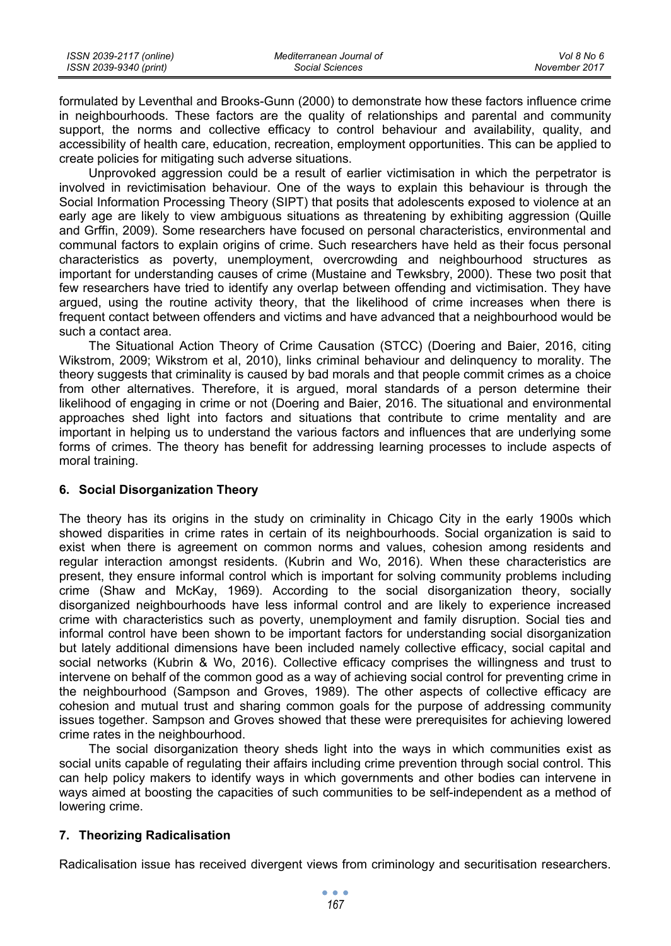| ISSN 2039-2117 (online) | Mediterranean Journal of | Vol 8 No 6    |
|-------------------------|--------------------------|---------------|
| ISSN 2039-9340 (print)  | Social Sciences          | November 2017 |

formulated by Leventhal and Brooks-Gunn (2000) to demonstrate how these factors influence crime in neighbourhoods. These factors are the quality of relationships and parental and community support, the norms and collective efficacy to control behaviour and availability, quality, and accessibility of health care, education, recreation, employment opportunities. This can be applied to create policies for mitigating such adverse situations.

Unprovoked aggression could be a result of earlier victimisation in which the perpetrator is involved in revictimisation behaviour. One of the ways to explain this behaviour is through the Social Information Processing Theory (SIPT) that posits that adolescents exposed to violence at an early age are likely to view ambiguous situations as threatening by exhibiting aggression (Quille and Grffin, 2009). Some researchers have focused on personal characteristics, environmental and communal factors to explain origins of crime. Such researchers have held as their focus personal characteristics as poverty, unemployment, overcrowding and neighbourhood structures as important for understanding causes of crime (Mustaine and Tewksbry, 2000). These two posit that few researchers have tried to identify any overlap between offending and victimisation. They have argued, using the routine activity theory, that the likelihood of crime increases when there is frequent contact between offenders and victims and have advanced that a neighbourhood would be such a contact area.

The Situational Action Theory of Crime Causation (STCC) (Doering and Baier, 2016, citing Wikstrom, 2009; Wikstrom et al, 2010), links criminal behaviour and delinquency to morality. The theory suggests that criminality is caused by bad morals and that people commit crimes as a choice from other alternatives. Therefore, it is argued, moral standards of a person determine their likelihood of engaging in crime or not (Doering and Baier, 2016. The situational and environmental approaches shed light into factors and situations that contribute to crime mentality and are important in helping us to understand the various factors and influences that are underlying some forms of crimes. The theory has benefit for addressing learning processes to include aspects of moral training.

### **6. Social Disorganization Theory**

The theory has its origins in the study on criminality in Chicago City in the early 1900s which showed disparities in crime rates in certain of its neighbourhoods. Social organization is said to exist when there is agreement on common norms and values, cohesion among residents and regular interaction amongst residents. (Kubrin and Wo, 2016). When these characteristics are present, they ensure informal control which is important for solving community problems including crime (Shaw and McKay, 1969). According to the social disorganization theory, socially disorganized neighbourhoods have less informal control and are likely to experience increased crime with characteristics such as poverty, unemployment and family disruption. Social ties and informal control have been shown to be important factors for understanding social disorganization but lately additional dimensions have been included namely collective efficacy, social capital and social networks (Kubrin & Wo, 2016). Collective efficacy comprises the willingness and trust to intervene on behalf of the common good as a way of achieving social control for preventing crime in the neighbourhood (Sampson and Groves, 1989). The other aspects of collective efficacy are cohesion and mutual trust and sharing common goals for the purpose of addressing community issues together. Sampson and Groves showed that these were prerequisites for achieving lowered crime rates in the neighbourhood.

The social disorganization theory sheds light into the ways in which communities exist as social units capable of regulating their affairs including crime prevention through social control. This can help policy makers to identify ways in which governments and other bodies can intervene in ways aimed at boosting the capacities of such communities to be self-independent as a method of lowering crime.

### **7. Theorizing Radicalisation**

Radicalisation issue has received divergent views from criminology and securitisation researchers.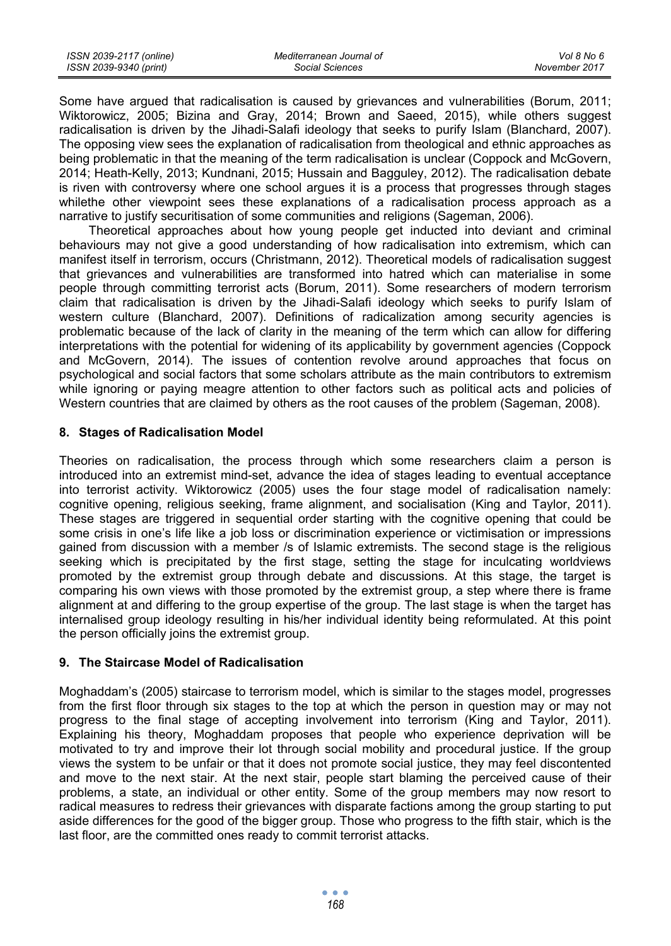| ISSN 2039-2117 (online) | Mediterranean Journal of | Vol 8 No 6    |
|-------------------------|--------------------------|---------------|
| ISSN 2039-9340 (print)  | Social Sciences          | November 2017 |

Some have argued that radicalisation is caused by grievances and vulnerabilities (Borum, 2011; Wiktorowicz, 2005; Bizina and Gray, 2014; Brown and Saeed, 2015), while others suggest radicalisation is driven by the Jihadi-Salafi ideology that seeks to purify Islam (Blanchard, 2007). The opposing view sees the explanation of radicalisation from theological and ethnic approaches as being problematic in that the meaning of the term radicalisation is unclear (Coppock and McGovern, 2014; Heath-Kelly, 2013; Kundnani, 2015; Hussain and Bagguley, 2012). The radicalisation debate is riven with controversy where one school argues it is a process that progresses through stages whilethe other viewpoint sees these explanations of a radicalisation process approach as a narrative to justify securitisation of some communities and religions (Sageman, 2006).

Theoretical approaches about how young people get inducted into deviant and criminal behaviours may not give a good understanding of how radicalisation into extremism, which can manifest itself in terrorism, occurs (Christmann, 2012). Theoretical models of radicalisation suggest that grievances and vulnerabilities are transformed into hatred which can materialise in some people through committing terrorist acts (Borum, 2011). Some researchers of modern terrorism claim that radicalisation is driven by the Jihadi-Salafi ideology which seeks to purify Islam of western culture (Blanchard, 2007). Definitions of radicalization among security agencies is problematic because of the lack of clarity in the meaning of the term which can allow for differing interpretations with the potential for widening of its applicability by government agencies (Coppock and McGovern, 2014). The issues of contention revolve around approaches that focus on psychological and social factors that some scholars attribute as the main contributors to extremism while ignoring or paying meagre attention to other factors such as political acts and policies of Western countries that are claimed by others as the root causes of the problem (Sageman, 2008).

### **8. Stages of Radicalisation Model**

Theories on radicalisation, the process through which some researchers claim a person is introduced into an extremist mind-set, advance the idea of stages leading to eventual acceptance into terrorist activity. Wiktorowicz (2005) uses the four stage model of radicalisation namely: cognitive opening, religious seeking, frame alignment, and socialisation (King and Taylor, 2011). These stages are triggered in sequential order starting with the cognitive opening that could be some crisis in one's life like a job loss or discrimination experience or victimisation or impressions gained from discussion with a member /s of Islamic extremists. The second stage is the religious seeking which is precipitated by the first stage, setting the stage for inculcating worldviews promoted by the extremist group through debate and discussions. At this stage, the target is comparing his own views with those promoted by the extremist group, a step where there is frame alignment at and differing to the group expertise of the group. The last stage is when the target has internalised group ideology resulting in his/her individual identity being reformulated. At this point the person officially joins the extremist group.

#### **9. The Staircase Model of Radicalisation**

Moghaddam's (2005) staircase to terrorism model, which is similar to the stages model, progresses from the first floor through six stages to the top at which the person in question may or may not progress to the final stage of accepting involvement into terrorism (King and Taylor, 2011). Explaining his theory, Moghaddam proposes that people who experience deprivation will be motivated to try and improve their lot through social mobility and procedural justice. If the group views the system to be unfair or that it does not promote social justice, they may feel discontented and move to the next stair. At the next stair, people start blaming the perceived cause of their problems, a state, an individual or other entity. Some of the group members may now resort to radical measures to redress their grievances with disparate factions among the group starting to put aside differences for the good of the bigger group. Those who progress to the fifth stair, which is the last floor, are the committed ones ready to commit terrorist attacks.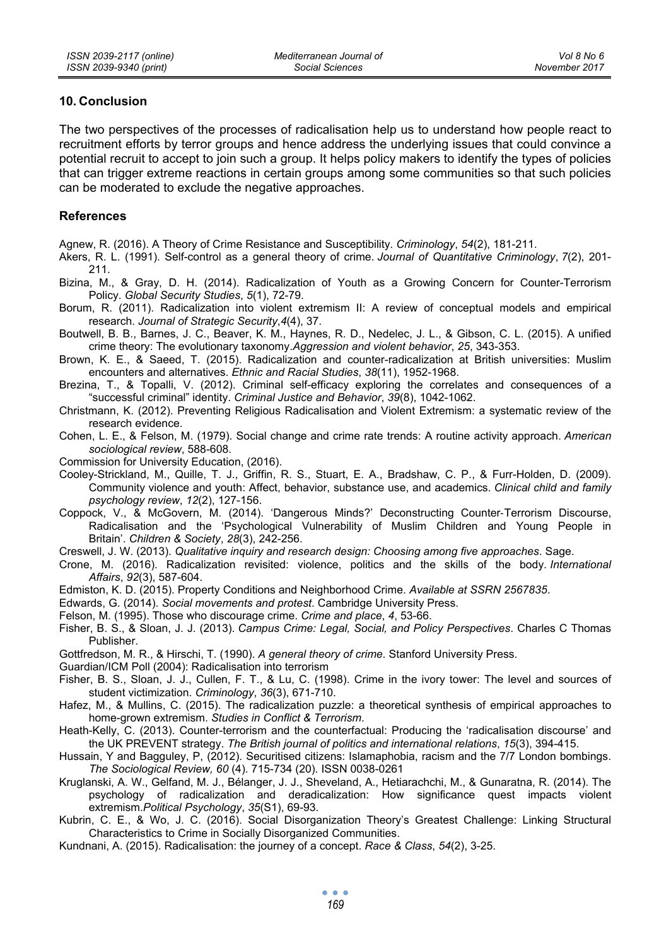## **10. Conclusion**

The two perspectives of the processes of radicalisation help us to understand how people react to recruitment efforts by terror groups and hence address the underlying issues that could convince a potential recruit to accept to join such a group. It helps policy makers to identify the types of policies that can trigger extreme reactions in certain groups among some communities so that such policies can be moderated to exclude the negative approaches.

# **References**

Agnew, R. (2016). A Theory of Crime Resistance and Susceptibility. *Criminology*, *54*(2), 181-211.

Akers, R. L. (1991). Self-control as a general theory of crime. *Journal of Quantitative Criminology*, *7*(2), 201- 211.

Bizina, M., & Gray, D. H. (2014). Radicalization of Youth as a Growing Concern for Counter-Terrorism Policy. *Global Security Studies*, *5*(1), 72-79.

Borum, R. (2011). Radicalization into violent extremism II: A review of conceptual models and empirical research. *Journal of Strategic Security*,*4*(4), 37.

Boutwell, B. B., Barnes, J. C., Beaver, K. M., Haynes, R. D., Nedelec, J. L., & Gibson, C. L. (2015). A unified crime theory: The evolutionary taxonomy.*Aggression and violent behavior*, *25*, 343-353.

Brown, K. E., & Saeed, T. (2015). Radicalization and counter-radicalization at British universities: Muslim encounters and alternatives. *Ethnic and Racial Studies*, *38*(11), 1952-1968.

Brezina, T., & Topalli, V. (2012). Criminal self-efficacy exploring the correlates and consequences of a "successful criminal" identity. *Criminal Justice and Behavior*, *39*(8), 1042-1062.

Christmann, K. (2012). Preventing Religious Radicalisation and Violent Extremism: a systematic review of the research evidence.

Cohen, L. E., & Felson, M. (1979). Social change and crime rate trends: A routine activity approach. *American sociological review*, 588-608.

Commission for University Education, (2016).

Cooley-Strickland, M., Quille, T. J., Griffin, R. S., Stuart, E. A., Bradshaw, C. P., & Furr-Holden, D. (2009). Community violence and youth: Affect, behavior, substance use, and academics. *Clinical child and family psychology review*, *12*(2), 127-156.

Coppock, V., & McGovern, M. (2014). 'Dangerous Minds?' Deconstructing Counter‐Terrorism Discourse, Radicalisation and the 'Psychological Vulnerability of Muslim Children and Young People in Britain'. *Children & Society*, *28*(3), 242-256.

Creswell, J. W. (2013). *Qualitative inquiry and research design: Choosing among five approaches*. Sage.

Crone, M. (2016). Radicalization revisited: violence, politics and the skills of the body. *International Affairs*, *92*(3), 587-604.

Edmiston, K. D. (2015). Property Conditions and Neighborhood Crime. *Available at SSRN 2567835*.

Edwards, G. (2014). *Social movements and protest*. Cambridge University Press.

Felson, M. (1995). Those who discourage crime. *Crime and place*, *4*, 53-66.

Fisher, B. S., & Sloan, J. J. (2013). *Campus Crime: Legal, Social, and Policy Perspectives*. Charles C Thomas Publisher.

Gottfredson, M. R., & Hirschi, T. (1990). *A general theory of crime*. Stanford University Press.

Guardian/ICM Poll (2004): Radicalisation into terrorism

Fisher, B. S., Sloan, J. J., Cullen, F. T., & Lu, C. (1998). Crime in the ivory tower: The level and sources of student victimization. *Criminology*, *36*(3), 671-710.

Hafez, M., & Mullins, C. (2015). The radicalization puzzle: a theoretical synthesis of empirical approaches to home-grown extremism. *Studies in Conflict & Terrorism*.

Heath-Kelly, C. (2013). Counter-terrorism and the counterfactual: Producing the 'radicalisation discourse' and the UK PREVENT strategy. *The British journal of politics and international relations*, *15*(3), 394-415.

Hussain, Y and Bagguley, P, (2012). Securitised citizens: Islamaphobia, racism and the 7/7 London bombings. *The Sociological Review, 60* (4). 715-734 (20). ISSN 0038-0261

Kruglanski, A. W., Gelfand, M. J., Bélanger, J. J., Sheveland, A., Hetiarachchi, M., & Gunaratna, R. (2014). The psychology of radicalization and deradicalization: How significance quest impacts violent extremism.*Political Psychology*, *35*(S1), 69-93.

Kubrin, C. E., & Wo, J. C. (2016). Social Disorganization Theory's Greatest Challenge: Linking Structural Characteristics to Crime in Socially Disorganized Communities.

Kundnani, A. (2015). Radicalisation: the journey of a concept. *Race & Class*, *54*(2), 3-25.